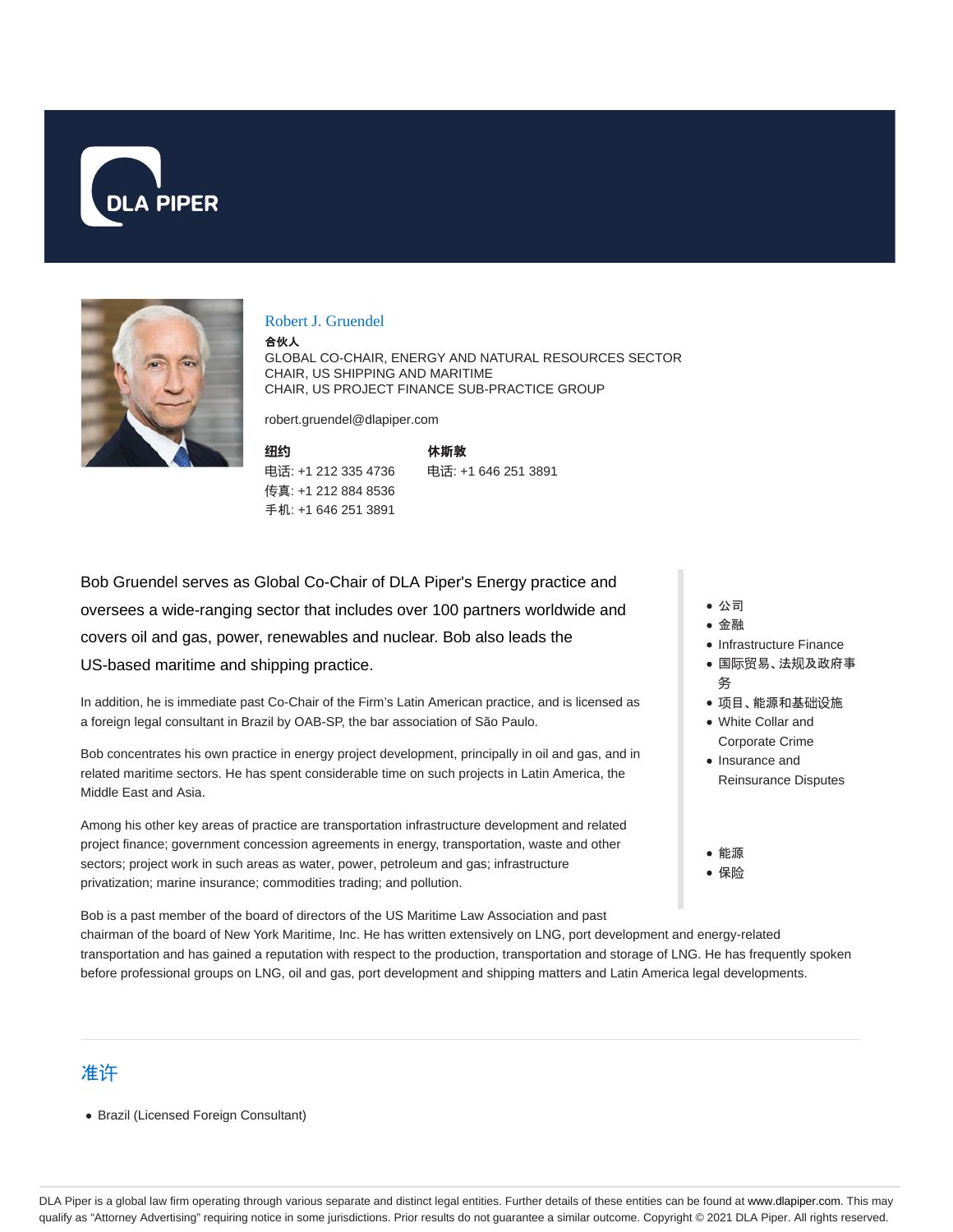



#### Robert J. Gruendel

合伙人

GLOBAL CO-CHAIR, ENERGY AND NATURAL RESOURCES SECTOR CHAIR, US SHIPPING AND MARITIME CHAIR, US PROJECT FINANCE SUB-PRACTICE GROUP

robert.gruendel@dlapiper.com

**纽约** 电话: +1 212 335 4736 传真: +1 212 884 8536 手机: +1 646 251 3891

休斯敦 电话: +1 646 251 3891

Bob Gruendel serves as Global Co-Chair of DLA Piper's Energy practice and oversees a wide-ranging sector that includes over 100 partners worldwide and covers oil and gas, power, renewables and nuclear. Bob also leads the US-based maritime and shipping practice.

In addition, he is immediate past Co-Chair of the Firm's Latin American practice, and is licensed as a foreign legal consultant in Brazil by OAB-SP, the bar association of São Paulo.

Bob concentrates his own practice in energy project development, principally in oil and gas, and in related maritime sectors. He has spent considerable time on such projects in Latin America, the Middle East and Asia.

Among his other key areas of practice are transportation infrastructure development and related project finance; government concession agreements in energy, transportation, waste and other sectors; project work in such areas as water, power, petroleum and gas; infrastructure privatization; marine insurance; commodities trading; and pollution.

Bob is a past member of the board of directors of the US Maritime Law Association and past chairman of the board of New York Maritime, Inc. He has written extensively on LNG, port development and energy-related transportation and has gained a reputation with respect to the production, transportation and storage of LNG. He has frequently spoken before professional groups on LNG, oil and gas, port development and shipping matters and Latin America legal developments.

- 公司
- 金融
- Infrastructure Finance
- 国际贸易、法规及政府事 务
- 项目、能源和基础设施
- White Collar and Corporate Crime
- Insurance and Reinsurance Disputes
- 能源
- 保险

准许

Brazil (Licensed Foreign Consultant)

DLA Piper is a global law firm operating through various separate and distinct legal entities. Further details of these entities can be found at www.dlapiper.com. This may qualify as "Attorney Advertising" requiring notice in some jurisdictions. Prior results do not guarantee a similar outcome. Copyright © 2021 DLA Piper. All rights reserved.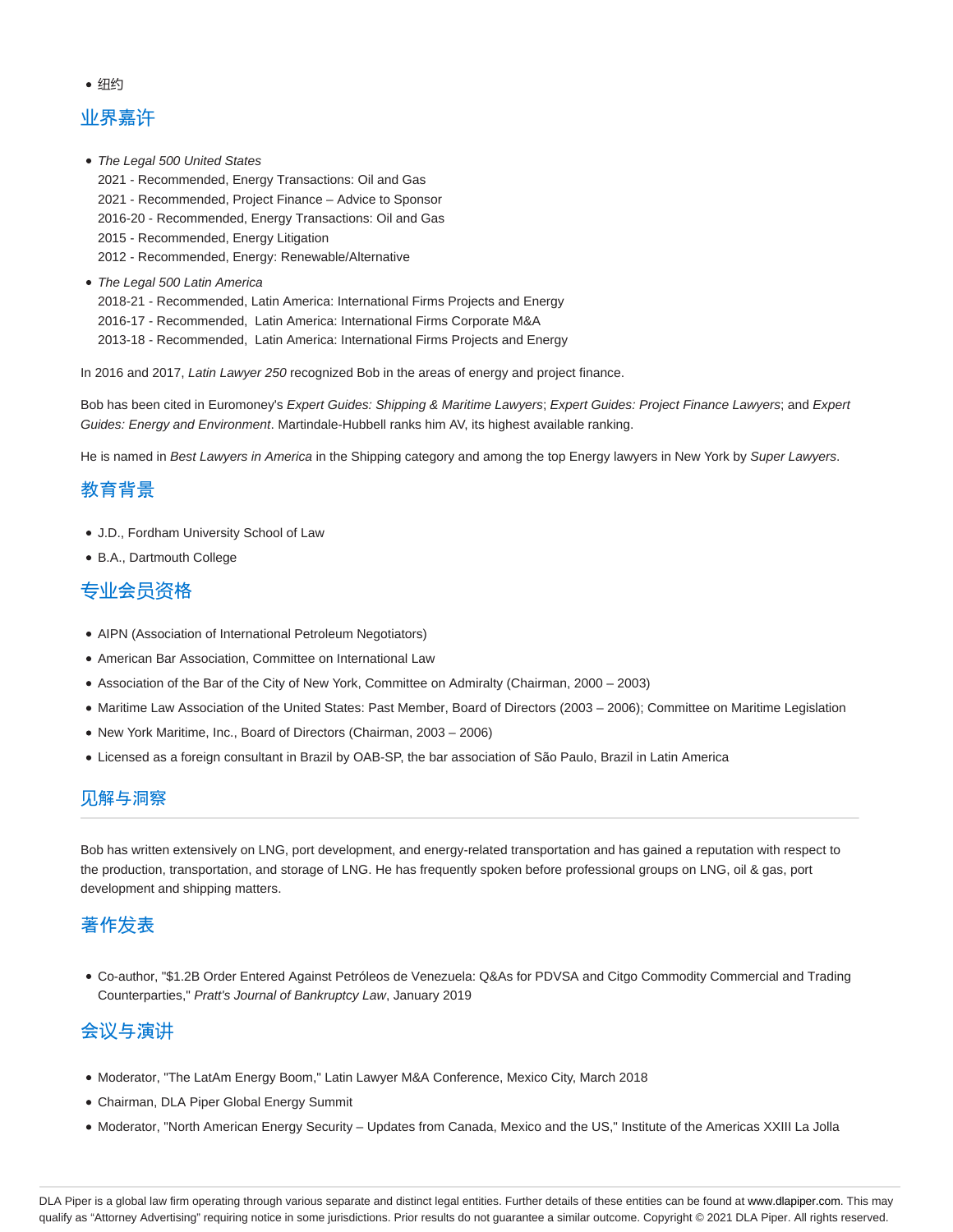• 纽约

# 业界嘉许

- The Legal 500 United States 2021 - Recommended, Energy Transactions: Oil and Gas 2021 - Recommended, Project Finance – Advice to Sponsor 2016-20 - Recommended, Energy Transactions: Oil and Gas 2015 - Recommended, Energy Litigation 2012 - Recommended, Energy: Renewable/Alternative
- The Legal 500 Latin America 2018-21 - Recommended, Latin America: International Firms Projects and Energy 2016-17 - Recommended, Latin America: International Firms Corporate M&A 2013-18 - Recommended, Latin America: International Firms Projects and Energy

In 2016 and 2017, Latin Lawyer 250 recognized Bob in the areas of energy and project finance.

Bob has been cited in Euromoney's Expert Guides: Shipping & Maritime Lawyers; Expert Guides: Project Finance Lawyers; and Expert Guides: Energy and Environment. Martindale-Hubbell ranks him AV, its highest available ranking.

He is named in Best Lawyers in America in the Shipping category and among the top Energy lawyers in New York by Super Lawyers.

## 教育背景

- J.D., Fordham University School of Law
- B.A., Dartmouth College

### 专业会员资格

- AIPN (Association of International Petroleum Negotiators)
- American Bar Association, Committee on International Law
- Association of the Bar of the City of New York, Committee on Admiralty (Chairman, 2000 2003)
- Maritime Law Association of the United States: Past Member, Board of Directors (2003 2006); Committee on Maritime Legislation
- New York Maritime, Inc., Board of Directors (Chairman, 2003 2006)
- Licensed as a foreign consultant in Brazil by OAB-SP, the bar association of São Paulo, Brazil in Latin America

### 见解与洞察

Bob has written extensively on LNG, port development, and energy-related transportation and has gained a reputation with respect to the production, transportation, and storage of LNG. He has frequently spoken before professional groups on LNG, oil & gas, port development and shipping matters.

## 著作发表

Co-author, "\$1.2B Order Entered Against Petróleos de Venezuela: Q&As for PDVSA and Citgo Commodity Commercial and Trading Counterparties," Pratt's Journal of Bankruptcy Law, January 2019

# 会议与演讲

- $\bullet$  Moderator, "The LatAm Energy Boom," Latin Lawyer M&A Conference, Mexico City, March 2018
- Chairman, DLA Piper Global Energy Summit
- Moderator, "North American Energy Security Updates from Canada, Mexico and the US," Institute of the Americas XXIII La Jolla